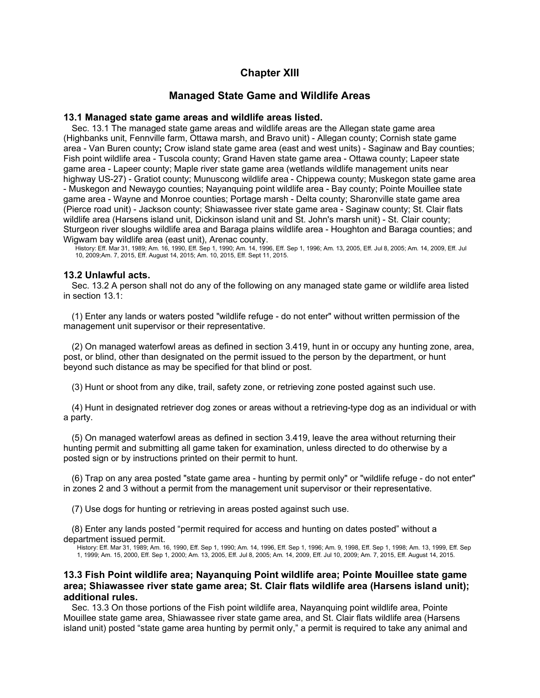# **Chapter XIII**

# **Managed State Game and Wildlife Areas**

# **13.1 Managed state game areas and wildlife areas listed.**

Sec. 13.1 The managed state game areas and wildlife areas are the Allegan state game area (Highbanks unit, Fennville farm, Ottawa marsh, and Bravo unit) - Allegan county; Cornish state game area - Van Buren county**;** Crow island state game area (east and west units) - Saginaw and Bay counties; Fish point wildlife area - Tuscola county; Grand Haven state game area - Ottawa county; Lapeer state game area - Lapeer county; Maple river state game area (wetlands wildlife management units near highway US-27) - Gratiot county; Munuscong wildlife area - Chippewa county; Muskegon state game area - Muskegon and Newaygo counties; Nayanquing point wildlife area - Bay county; Pointe Mouillee state game area - Wayne and Monroe counties; Portage marsh - Delta county; Sharonville state game area (Pierce road unit) - Jackson county; Shiawassee river state game area - Saginaw county; St. Clair flats wildlife area (Harsens island unit, Dickinson island unit and St. John's marsh unit) - St. Clair county; Sturgeon river sloughs wildlife area and Baraga plains wildlife area - Houghton and Baraga counties; and Wigwam bay wildlife area (east unit), Arenac county.

History: Eff. Mar 31, 1989; Am. 16, 1990, Eff. Sep 1, 1990; Am. 14, 1996, Eff. Sep 1, 1996; Am. 13, 2005, Eff. Jul 8, 2005; Am. 14, 2009, Eff. Jul 10, 2009;Am. 7, 2015, Eff. August 14, 2015; Am. 10, 2015, Eff. Sept 11, 2015.

## **13.2 Unlawful acts.**

Sec. 13.2 A person shall not do any of the following on any managed state game or wildlife area listed in section 13.1:

(1) Enter any lands or waters posted "wildlife refuge - do not enter" without written permission of the management unit supervisor or their representative.

(2) On managed waterfowl areas as defined in section 3.419, hunt in or occupy any hunting zone, area, post, or blind, other than designated on the permit issued to the person by the department, or hunt beyond such distance as may be specified for that blind or post.

(3) Hunt or shoot from any dike, trail, safety zone, or retrieving zone posted against such use.

(4) Hunt in designated retriever dog zones or areas without a retrieving-type dog as an individual or with a party.

(5) On managed waterfowl areas as defined in section 3.419, leave the area without returning their hunting permit and submitting all game taken for examination, unless directed to do otherwise by a posted sign or by instructions printed on their permit to hunt.

(6) Trap on any area posted "state game area - hunting by permit only" or "wildlife refuge - do not enter" in zones 2 and 3 without a permit from the management unit supervisor or their representative.

(7) Use dogs for hunting or retrieving in areas posted against such use.

(8) Enter any lands posted "permit required for access and hunting on dates posted" without a department issued permit.

History: Eff. Mar 31, 1989; Am. 16, 1990, Eff. Sep 1, 1990; Am. 14, 1996, Eff. Sep 1, 1996; Am. 9, 1998, Eff. Sep 1, 1998; Am. 13, 1999, Eff. Sep 1, 1999; Am. 15, 2000, Eff. Sep 1, 2000; Am. 13, 2005, Eff. Jul 8, 2005; Am. 14, 2009, Eff. Jul 10, 2009; Am. 7, 2015, Eff. August 14, 2015.

# **13.3 Fish Point wildlife area; Nayanquing Point wildlife area; Pointe Mouillee state game area; Shiawassee river state game area; St. Clair flats wildlife area (Harsens island unit); additional rules.**

Sec. 13.3 On those portions of the Fish point wildlife area, Nayanquing point wildlife area, Pointe Mouillee state game area, Shiawassee river state game area, and St. Clair flats wildlife area (Harsens island unit) posted "state game area hunting by permit only," a permit is required to take any animal and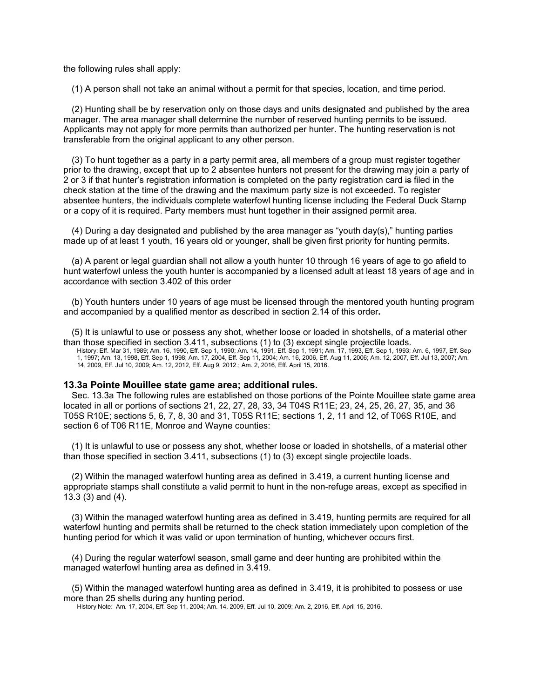the following rules shall apply:

(1) A person shall not take an animal without a permit for that species, location, and time period.

(2) Hunting shall be by reservation only on those days and units designated and published by the area manager. The area manager shall determine the number of reserved hunting permits to be issued. Applicants may not apply for more permits than authorized per hunter. The hunting reservation is not transferable from the original applicant to any other person.

(3) To hunt together as a party in a party permit area, all members of a group must register together prior to the drawing, except that up to 2 absentee hunters not present for the drawing may join a party of 2 or 3 if that hunter's registration information is completed on the party registration card is filed in the check station at the time of the drawing and the maximum party size is not exceeded. To register absentee hunters, the individuals complete waterfowl hunting license including the Federal Duck Stamp or a copy of it is required. Party members must hunt together in their assigned permit area.

 $(4)$  During a day designated and published by the area manager as "youth day(s)," hunting parties made up of at least 1 youth, 16 years old or younger, shall be given first priority for hunting permits.

(a) A parent or legal guardian shall not allow a youth hunter 10 through 16 years of age to go afield to hunt waterfowl unless the youth hunter is accompanied by a licensed adult at least 18 years of age and in accordance with section 3.402 of this order

(b) Youth hunters under 10 years of age must be licensed through the mentored youth hunting program and accompanied by a qualified mentor as described in section 2.14 of this order**.**

(5) It is unlawful to use or possess any shot, whether loose or loaded in shotshells, of a material other than those specified in section 3.411, subsections (1) to (3) except single projectile loads. History: Eff. Mar 31, 1989; Am. 16, 1990, Eff. Sep 1, 1990; Am. 14, 1991, Eff. Sep 1, 1991; Am. 17, 1993, Eff. Sep 1, 1993; Am. 6, 1997, Eff. Sep

1, 1997; Am. 13, 1998, Eff. Sep 1, 1998; Am. 17, 2004, Eff. Sep 11, 2004; Am. 16, 2006, Eff. Aug 11, 2006; Am. 12, 2007, Eff. Jul 13, 2007; Am. 14, 2009, Eff. Jul 10, 2009; Am. 12, 2012, Eff. Aug 9, 2012.; Am. 2, 2016, Eff. April 15, 2016.

#### **13.3a Pointe Mouillee state game area; additional rules.**

Sec. 13.3a The following rules are established on those portions of the Pointe Mouillee state game area located in all or portions of sections 21, 22, 27, 28, 33, 34 T04S R11E; 23, 24, 25, 26, 27, 35, and 36 T05S R10E; sections 5, 6, 7, 8, 30 and 31, T05S R11E; sections 1, 2, 11 and 12, of T06S R10E, and section 6 of T06 R11E, Monroe and Wayne counties:

(1) It is unlawful to use or possess any shot, whether loose or loaded in shotshells, of a material other than those specified in section 3.411, subsections (1) to (3) except single projectile loads.

(2) Within the managed waterfowl hunting area as defined in 3.419, a current hunting license and appropriate stamps shall constitute a valid permit to hunt in the non-refuge areas, except as specified in 13.3 (3) and (4).

(3) Within the managed waterfowl hunting area as defined in 3.419, hunting permits are required for all waterfowl hunting and permits shall be returned to the check station immediately upon completion of the hunting period for which it was valid or upon termination of hunting, whichever occurs first.

(4) During the regular waterfowl season, small game and deer hunting are prohibited within the managed waterfowl hunting area as defined in 3.419.

(5) Within the managed waterfowl hunting area as defined in 3.419, it is prohibited to possess or use more than 25 shells during any hunting period.

History Note: Am. 17, 2004, Eff. Sep 11, 2004; Am. 14, 2009, Eff. Jul 10, 2009; Am. 2, 2016, Eff. April 15, 2016.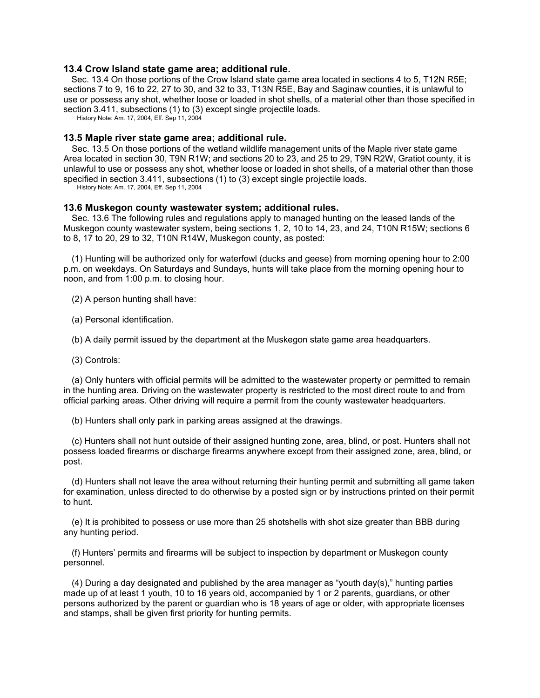### **13.4 Crow Island state game area; additional rule.**

Sec. 13.4 On those portions of the Crow Island state game area located in sections 4 to 5, T12N R5E; sections 7 to 9, 16 to 22, 27 to 30, and 32 to 33, T13N R5E, Bay and Saginaw counties, it is unlawful to use or possess any shot, whether loose or loaded in shot shells, of a material other than those specified in section 3.411, subsections (1) to (3) except single projectile loads.

History Note: Am. 17, 2004, Eff. Sep 11, 2004

# **13.5 Maple river state game area; additional rule.**

Sec. 13.5 On those portions of the wetland wildlife management units of the Maple river state game Area located in section 30, T9N R1W; and sections 20 to 23, and 25 to 29, T9N R2W, Gratiot county, it is unlawful to use or possess any shot, whether loose or loaded in shot shells, of a material other than those specified in section 3.411, subsections (1) to (3) except single projectile loads.

History Note: Am. 17, 2004, Eff. Sep 11, 2004

# **13.6 Muskegon county wastewater system; additional rules.**

Sec. 13.6 The following rules and regulations apply to managed hunting on the leased lands of the Muskegon county wastewater system, being sections 1, 2, 10 to 14, 23, and 24, T10N R15W; sections 6 to 8, 17 to 20, 29 to 32, T10N R14W, Muskegon county, as posted:

(1) Hunting will be authorized only for waterfowl (ducks and geese) from morning opening hour to 2:00 p.m. on weekdays. On Saturdays and Sundays, hunts will take place from the morning opening hour to noon, and from 1:00 p.m. to closing hour.

(2) A person hunting shall have:

(a) Personal identification.

(b) A daily permit issued by the department at the Muskegon state game area headquarters.

(3) Controls:

(a) Only hunters with official permits will be admitted to the wastewater property or permitted to remain in the hunting area. Driving on the wastewater property is restricted to the most direct route to and from official parking areas. Other driving will require a permit from the county wastewater headquarters.

(b) Hunters shall only park in parking areas assigned at the drawings.

(c) Hunters shall not hunt outside of their assigned hunting zone, area, blind, or post. Hunters shall not possess loaded firearms or discharge firearms anywhere except from their assigned zone, area, blind, or post.

(d) Hunters shall not leave the area without returning their hunting permit and submitting all game taken for examination, unless directed to do otherwise by a posted sign or by instructions printed on their permit to hunt.

(e) It is prohibited to possess or use more than 25 shotshells with shot size greater than BBB during any hunting period.

(f) Hunters' permits and firearms will be subject to inspection by department or Muskegon county personnel.

 $(4)$  During a day designated and published by the area manager as "youth day(s)," hunting parties made up of at least 1 youth, 10 to 16 years old, accompanied by 1 or 2 parents, guardians, or other persons authorized by the parent or guardian who is 18 years of age or older, with appropriate licenses and stamps, shall be given first priority for hunting permits.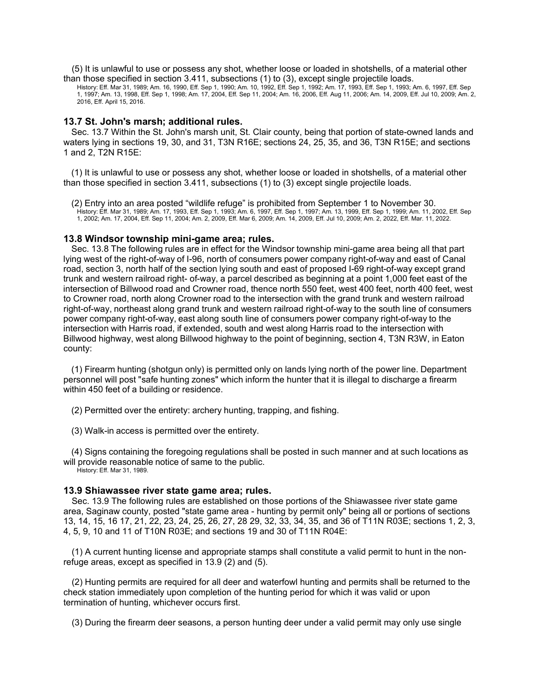(5) It is unlawful to use or possess any shot, whether loose or loaded in shotshells, of a material other than those specified in section 3.411, subsections (1) to (3), except single projectile loads.

History: Eff. Mar 31, 1989; Am. 16, 1990, Eff. Sep 1, 1990; Am. 10, 1992, Eff. Sep 1, 1992; Am. 17, 1993, Eff. Sep 1, 1993; Am. 6, 1997, Eff. Sep 1, 1997; Am. 13, 1998, Eff. Sep 1, 1998; Am. 17, 2004, Eff. Sep 11, 2004; Am. 16, 2006, Eff. Aug 11, 2006; Am. 14, 2009, Eff. Jul 10, 2009; Am. 2, 2016, Eff. April 15, 2016.

## **13.7 St. John's marsh; additional rules.**

Sec. 13.7 Within the St. John's marsh unit, St. Clair county, being that portion of state-owned lands and waters lying in sections 19, 30, and 31, T3N R16E; sections 24, 25, 35, and 36, T3N R15E; and sections 1 and 2, T2N R15E:

(1) It is unlawful to use or possess any shot, whether loose or loaded in shotshells, of a material other than those specified in section 3.411, subsections (1) to (3) except single projectile loads.

(2) Entry into an area posted "wildlife refuge" is prohibited from September 1 to November 30. History: Eff. Mar 31, 1989; Am. 17, 1993, Eff. Sep 1, 1993; Am. 6, 1997, Eff. Sep 1, 1997; Am. 13, 1999, Eff. Sep 1, 1999; Am. 11, 2002, Eff. Sep 1, 2002; Am. 17, 2004, Eff. Sep 11, 2004; Am. 2, 2009, Eff. Mar 6, 2009; Am. 14, 2009, Eff. Jul 10, 2009; Am. 2, 2022, Eff. Mar. 11, 2022.

#### **13.8 Windsor township mini-game area; rules.**

Sec. 13.8 The following rules are in effect for the Windsor township mini-game area being all that part lying west of the right-of-way of I-96, north of consumers power company right-of-way and east of Canal road, section 3, north half of the section lying south and east of proposed I-69 right-of-way except grand trunk and western railroad right- of-way, a parcel described as beginning at a point 1,000 feet east of the intersection of Billwood road and Crowner road, thence north 550 feet, west 400 feet, north 400 feet, west to Crowner road, north along Crowner road to the intersection with the grand trunk and western railroad right-of-way, northeast along grand trunk and western railroad right-of-way to the south line of consumers power company right-of-way, east along south line of consumers power company right-of-way to the intersection with Harris road, if extended, south and west along Harris road to the intersection with Billwood highway, west along Billwood highway to the point of beginning, section 4, T3N R3W, in Eaton county:

(1) Firearm hunting (shotgun only) is permitted only on lands lying north of the power line. Department personnel will post "safe hunting zones" which inform the hunter that it is illegal to discharge a firearm within 450 feet of a building or residence.

(2) Permitted over the entirety: archery hunting, trapping, and fishing.

(3) Walk-in access is permitted over the entirety.

(4) Signs containing the foregoing regulations shall be posted in such manner and at such locations as will provide reasonable notice of same to the public.

History: Eff. Mar 31, 1989.

### **13.9 Shiawassee river state game area; rules.**

Sec. 13.9 The following rules are established on those portions of the Shiawassee river state game area, Saginaw county, posted "state game area - hunting by permit only" being all or portions of sections 13, 14, 15, 16 17, 21, 22, 23, 24, 25, 26, 27, 28 29, 32, 33, 34, 35, and 36 of T11N R03E; sections 1, 2, 3, 4, 5, 9, 10 and 11 of T10N R03E; and sections 19 and 30 of T11N R04E:

(1) A current hunting license and appropriate stamps shall constitute a valid permit to hunt in the nonrefuge areas, except as specified in 13.9 (2) and (5).

(2) Hunting permits are required for all deer and waterfowl hunting and permits shall be returned to the check station immediately upon completion of the hunting period for which it was valid or upon termination of hunting, whichever occurs first.

(3) During the firearm deer seasons, a person hunting deer under a valid permit may only use single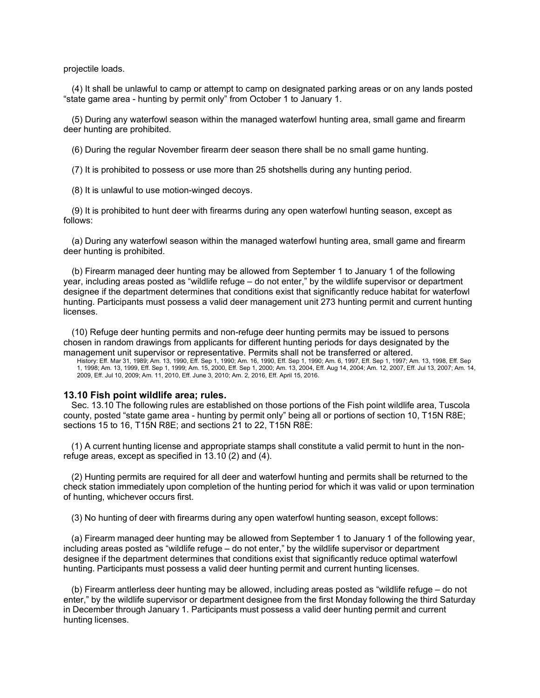projectile loads.

(4) It shall be unlawful to camp or attempt to camp on designated parking areas or on any lands posted "state game area - hunting by permit only" from October 1 to January 1.

(5) During any waterfowl season within the managed waterfowl hunting area, small game and firearm deer hunting are prohibited.

(6) During the regular November firearm deer season there shall be no small game hunting.

(7) It is prohibited to possess or use more than 25 shotshells during any hunting period.

(8) It is unlawful to use motion-winged decoys.

(9) It is prohibited to hunt deer with firearms during any open waterfowl hunting season, except as follows:

(a) During any waterfowl season within the managed waterfowl hunting area, small game and firearm deer hunting is prohibited.

(b) Firearm managed deer hunting may be allowed from September 1 to January 1 of the following year, including areas posted as "wildlife refuge – do not enter," by the wildlife supervisor or department designee if the department determines that conditions exist that significantly reduce habitat for waterfowl hunting. Participants must possess a valid deer management unit 273 hunting permit and current hunting licenses.

(10) Refuge deer hunting permits and non-refuge deer hunting permits may be issued to persons chosen in random drawings from applicants for different hunting periods for days designated by the management unit supervisor or representative. Permits shall not be transferred or altered.

History: Eff. Mar 31, 1989; Am. 13, 1990, Eff. Sep 1, 1990; Am. 16, 1990, Eff. Sep 1, 1990; Am. 6, 1997, Eff. Sep 1, 1997; Am. 13, 1998, Eff. Sep 1, 1998; Am. 13, 1999, Eff. Sep 1, 1999; Am. 15, 2000, Eff. Sep 1, 2000; Am. 13, 2004, Eff. Aug 14, 2004; Am. 12, 2007, Eff. Jul 13, 2007; Am. 14, 2009, Eff. Jul 10, 2009; Am. 11, 2010, Eff. June 3, 2010; Am. 2, 2016, Eff. April 15, 2016.

### **13.10 Fish point wildlife area; rules.**

Sec. 13.10 The following rules are established on those portions of the Fish point wildlife area, Tuscola county, posted "state game area - hunting by permit only" being all or portions of section 10, T15N R8E; sections 15 to 16, T15N R8E; and sections 21 to 22, T15N R8E:

(1) A current hunting license and appropriate stamps shall constitute a valid permit to hunt in the nonrefuge areas, except as specified in 13.10 (2) and (4).

(2) Hunting permits are required for all deer and waterfowl hunting and permits shall be returned to the check station immediately upon completion of the hunting period for which it was valid or upon termination of hunting, whichever occurs first.

(3) No hunting of deer with firearms during any open waterfowl hunting season, except follows:

(a) Firearm managed deer hunting may be allowed from September 1 to January 1 of the following year, including areas posted as "wildlife refuge – do not enter," by the wildlife supervisor or department designee if the department determines that conditions exist that significantly reduce optimal waterfowl hunting. Participants must possess a valid deer hunting permit and current hunting licenses.

(b) Firearm antlerless deer hunting may be allowed, including areas posted as "wildlife refuge – do not enter," by the wildlife supervisor or department designee from the first Monday following the third Saturday in December through January 1. Participants must possess a valid deer hunting permit and current hunting licenses.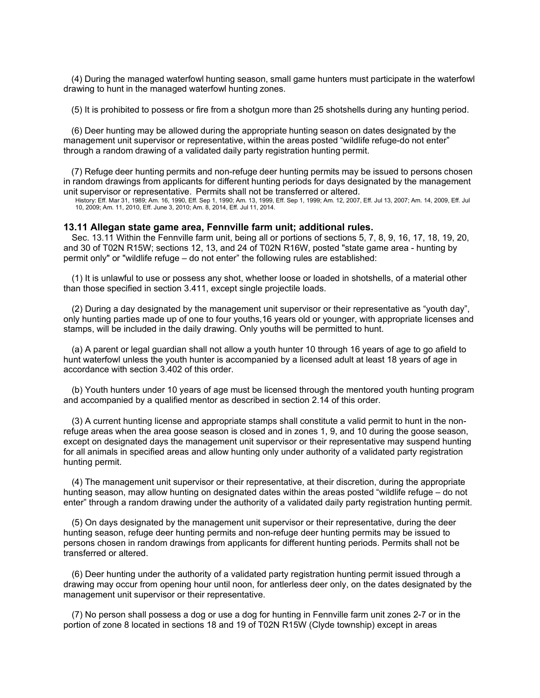(4) During the managed waterfowl hunting season, small game hunters must participate in the waterfowl drawing to hunt in the managed waterfowl hunting zones.

(5) It is prohibited to possess or fire from a shotgun more than 25 shotshells during any hunting period.

(6) Deer hunting may be allowed during the appropriate hunting season on dates designated by the management unit supervisor or representative, within the areas posted "wildlife refuge-do not enter" through a random drawing of a validated daily party registration hunting permit.

(7) Refuge deer hunting permits and non-refuge deer hunting permits may be issued to persons chosen in random drawings from applicants for different hunting periods for days designated by the management unit supervisor or representative. Permits shall not be transferred or altered.

History: Eff. Mar 31, 1989; Am. 16, 1990, Eff. Sep 1, 1990; Am. 13, 1999, Eff. Sep 1, 1999; Am. 12, 2007, Eff. Jul 13, 2007; Am. 14, 2009, Eff. Jul 10, 2009; Am. 11, 2010, Eff. June 3, 2010; Am. 8, 2014, Eff. Jul 11, 2014.

# **13.11 Allegan state game area, Fennville farm unit; additional rules.**

Sec. 13.11 Within the Fennville farm unit, being all or portions of sections 5, 7, 8, 9, 16, 17, 18, 19, 20, and 30 of T02N R15W; sections 12, 13, and 24 of T02N R16W, posted "state game area - hunting by permit only" or "wildlife refuge – do not enter" the following rules are established:

(1) It is unlawful to use or possess any shot, whether loose or loaded in shotshells, of a material other than those specified in section 3.411, except single projectile loads.

(2) During a day designated by the management unit supervisor or their representative as "youth day", only hunting parties made up of one to four youths,16 years old or younger, with appropriate licenses and stamps, will be included in the daily drawing. Only youths will be permitted to hunt.

(a) A parent or legal guardian shall not allow a youth hunter 10 through 16 years of age to go afield to hunt waterfowl unless the youth hunter is accompanied by a licensed adult at least 18 years of age in accordance with section 3.402 of this order.

(b) Youth hunters under 10 years of age must be licensed through the mentored youth hunting program and accompanied by a qualified mentor as described in section 2.14 of this order.

(3) A current hunting license and appropriate stamps shall constitute a valid permit to hunt in the nonrefuge areas when the area goose season is closed and in zones 1, 9, and 10 during the goose season, except on designated days the management unit supervisor or their representative may suspend hunting for all animals in specified areas and allow hunting only under authority of a validated party registration hunting permit.

(4) The management unit supervisor or their representative, at their discretion, during the appropriate hunting season, may allow hunting on designated dates within the areas posted "wildlife refuge – do not enter" through a random drawing under the authority of a validated daily party registration hunting permit.

(5) On days designated by the management unit supervisor or their representative, during the deer hunting season, refuge deer hunting permits and non-refuge deer hunting permits may be issued to persons chosen in random drawings from applicants for different hunting periods. Permits shall not be transferred or altered.

(6) Deer hunting under the authority of a validated party registration hunting permit issued through a drawing may occur from opening hour until noon, for antlerless deer only, on the dates designated by the management unit supervisor or their representative.

(7) No person shall possess a dog or use a dog for hunting in Fennville farm unit zones 2-7 or in the portion of zone 8 located in sections 18 and 19 of T02N R15W (Clyde township) except in areas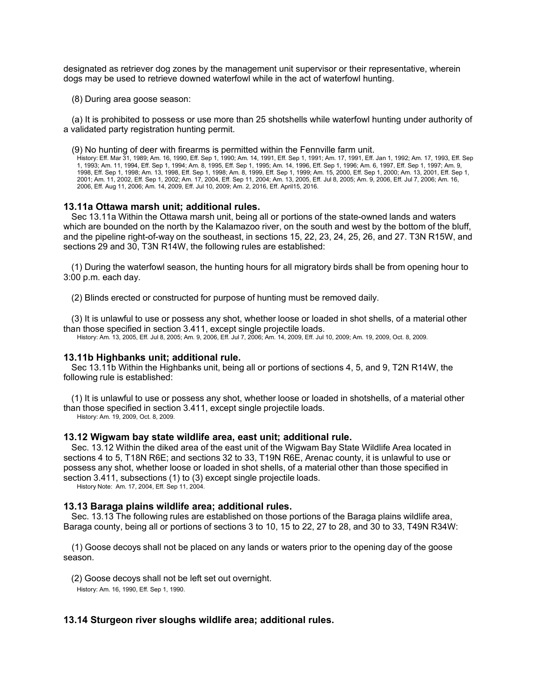designated as retriever dog zones by the management unit supervisor or their representative, wherein dogs may be used to retrieve downed waterfowl while in the act of waterfowl hunting.

(8) During area goose season:

(a) It is prohibited to possess or use more than 25 shotshells while waterfowl hunting under authority of a validated party registration hunting permit.

(9) No hunting of deer with firearms is permitted within the Fennville farm unit.

History: Eff. Mar 31, 1989; Am. 16, 1990, Eff. Sep 1, 1990; Am. 14, 1991, Eff. Sep 1, 1991; Am. 17, 1991, Eff. Jan 1, 1992; Am. 17, 1993, Eff. Sep 1, 1993; Am. 11, 1994, Eff. Sep 1, 1994; Am. 8, 1995, Eff. Sep 1, 1995; Am. 14, 1996, Eff. Sep 1, 1996; Am. 6, 1997, Eff. Sep 1, 1997; Am. 9, 1998, Eff. Sep 1, 1998; Am. 13, 1998, Eff. Sep 1, 1998; Am. 8, 1999, Eff. Sep 1, 1999; Am. 15, 2000, Eff. Sep 1, 2000; Am. 13, 2001, Eff. Sep 1, 2001; Am. 11, 2002, Eff. Sep 1, 2002; Am. 17, 2004, Eff. Sep 11, 2004; Am. 13, 2005, Eff. Jul 8, 2005; Am. 9, 2006, Eff. Jul 7, 2006; Am. 16, 2006, Eff. Aug 11, 2006; Am. 14, 2009, Eff. Jul 10, 2009; Am. 2, 2016, Eff. April15, 2016.

#### **13.11a Ottawa marsh unit; additional rules.**

Sec 13.11a Within the Ottawa marsh unit, being all or portions of the state-owned lands and waters which are bounded on the north by the Kalamazoo river, on the south and west by the bottom of the bluff, and the pipeline right-of-way on the southeast, in sections 15, 22, 23, 24, 25, 26, and 27. T3N R15W, and sections 29 and 30, T3N R14W, the following rules are established:

(1) During the waterfowl season, the hunting hours for all migratory birds shall be from opening hour to 3:00 p.m. each day.

(2) Blinds erected or constructed for purpose of hunting must be removed daily.

(3) It is unlawful to use or possess any shot, whether loose or loaded in shot shells, of a material other than those specified in section 3.411, except single projectile loads.

History: Am. 13, 2005, Eff. Jul 8, 2005; Am. 9, 2006, Eff. Jul 7, 2006; Am. 14, 2009, Eff. Jul 10, 2009; Am. 19, 2009, Oct. 8, 2009.

### **13.11b Highbanks unit; additional rule.**

Sec 13.11b Within the Highbanks unit, being all or portions of sections 4, 5, and 9, T2N R14W, the following rule is established:

(1) It is unlawful to use or possess any shot, whether loose or loaded in shotshells, of a material other than those specified in section 3.411, except single projectile loads.

History: Am. 19, 2009, Oct. 8, 2009.

## **13.12 Wigwam bay state wildlife area, east unit; additional rule.**

Sec. 13.12 Within the diked area of the east unit of the Wigwam Bay State Wildlife Area located in sections 4 to 5, T18N R6E; and sections 32 to 33, T19N R6E, Arenac county, it is unlawful to use or possess any shot, whether loose or loaded in shot shells, of a material other than those specified in section 3.411, subsections (1) to (3) except single projectile loads.

History Note: Am. 17, 2004, Eff. Sep 11, 2004.

#### **13.13 Baraga plains wildlife area; additional rules.**

Sec. 13.13 The following rules are established on those portions of the Baraga plains wildlife area, Baraga county, being all or portions of sections 3 to 10, 15 to 22, 27 to 28, and 30 to 33, T49N R34W:

(1) Goose decoys shall not be placed on any lands or waters prior to the opening day of the goose season.

(2) Goose decoys shall not be left set out overnight.

History: Am. 16, 1990, Eff. Sep 1, 1990.

# **13.14 Sturgeon river sloughs wildlife area; additional rules.**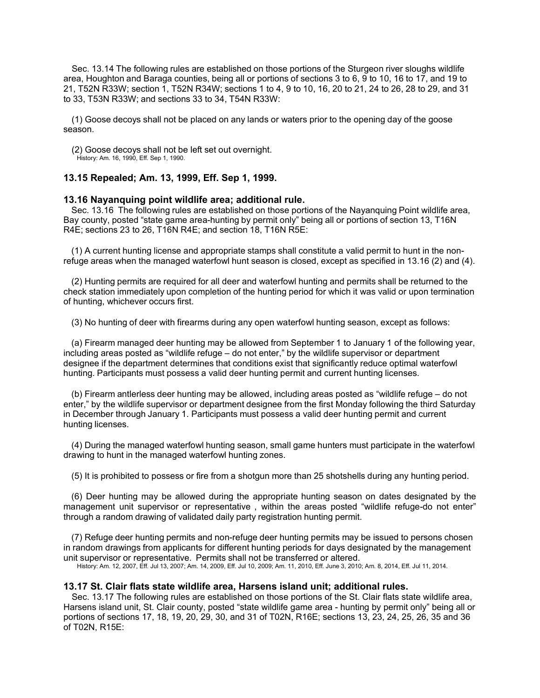Sec. 13.14 The following rules are established on those portions of the Sturgeon river sloughs wildlife area, Houghton and Baraga counties, being all or portions of sections 3 to 6, 9 to 10, 16 to 17, and 19 to 21, T52N R33W; section 1, T52N R34W; sections 1 to 4, 9 to 10, 16, 20 to 21, 24 to 26, 28 to 29, and 31 to 33, T53N R33W; and sections 33 to 34, T54N R33W:

(1) Goose decoys shall not be placed on any lands or waters prior to the opening day of the goose season.

(2) Goose decoys shall not be left set out overnight.

History: Am. 16, 1990, Eff. Sep 1, 1990.

# **13.15 Repealed; Am. 13, 1999, Eff. Sep 1, 1999.**

# **13.16 Nayanquing point wildlife area; additional rule.**

Sec. 13.16 The following rules are established on those portions of the Nayanquing Point wildlife area, Bay county, posted "state game area-hunting by permit only" being all or portions of section 13, T16N R4E; sections 23 to 26, T16N R4E; and section 18, T16N R5E:

(1) A current hunting license and appropriate stamps shall constitute a valid permit to hunt in the nonrefuge areas when the managed waterfowl hunt season is closed, except as specified in 13.16 (2) and (4).

(2) Hunting permits are required for all deer and waterfowl hunting and permits shall be returned to the check station immediately upon completion of the hunting period for which it was valid or upon termination of hunting, whichever occurs first.

(3) No hunting of deer with firearms during any open waterfowl hunting season, except as follows:

(a) Firearm managed deer hunting may be allowed from September 1 to January 1 of the following year, including areas posted as "wildlife refuge – do not enter," by the wildlife supervisor or department designee if the department determines that conditions exist that significantly reduce optimal waterfowl hunting. Participants must possess a valid deer hunting permit and current hunting licenses.

(b) Firearm antlerless deer hunting may be allowed, including areas posted as "wildlife refuge – do not enter," by the wildlife supervisor or department designee from the first Monday following the third Saturday in December through January 1. Participants must possess a valid deer hunting permit and current hunting licenses.

(4) During the managed waterfowl hunting season, small game hunters must participate in the waterfowl drawing to hunt in the managed waterfowl hunting zones.

(5) It is prohibited to possess or fire from a shotgun more than 25 shotshells during any hunting period.

(6) Deer hunting may be allowed during the appropriate hunting season on dates designated by the management unit supervisor or representative , within the areas posted "wildlife refuge-do not enter" through a random drawing of validated daily party registration hunting permit.

(7) Refuge deer hunting permits and non-refuge deer hunting permits may be issued to persons chosen in random drawings from applicants for different hunting periods for days designated by the management unit supervisor or representative. Permits shall not be transferred or altered.

History: Am. 12, 2007, Eff. Jul 13, 2007; Am. 14, 2009, Eff. Jul 10, 2009; Am. 11, 2010, Eff. June 3, 2010; Am. 8, 2014, Eff. Jul 11, 2014.

# **13.17 St. Clair flats state wildlife area, Harsens island unit; additional rules.**

Sec. 13.17 The following rules are established on those portions of the St. Clair flats state wildlife area, Harsens island unit, St. Clair county, posted "state wildlife game area - hunting by permit only" being all or portions of sections 17, 18, 19, 20, 29, 30, and 31 of T02N, R16E; sections 13, 23, 24, 25, 26, 35 and 36 of T02N, R15E: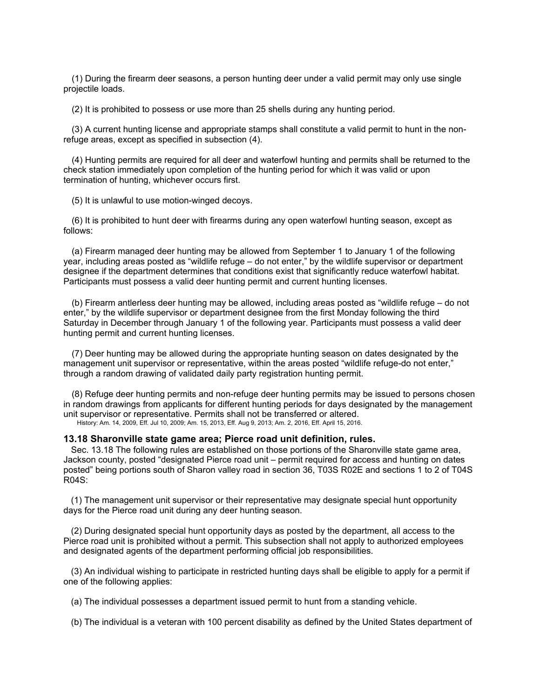(1) During the firearm deer seasons, a person hunting deer under a valid permit may only use single projectile loads.

(2) It is prohibited to possess or use more than 25 shells during any hunting period.

(3) A current hunting license and appropriate stamps shall constitute a valid permit to hunt in the nonrefuge areas, except as specified in subsection (4).

(4) Hunting permits are required for all deer and waterfowl hunting and permits shall be returned to the check station immediately upon completion of the hunting period for which it was valid or upon termination of hunting, whichever occurs first.

(5) It is unlawful to use motion-winged decoys.

(6) It is prohibited to hunt deer with firearms during any open waterfowl hunting season, except as follows:

(a) Firearm managed deer hunting may be allowed from September 1 to January 1 of the following year, including areas posted as "wildlife refuge – do not enter," by the wildlife supervisor or department designee if the department determines that conditions exist that significantly reduce waterfowl habitat. Participants must possess a valid deer hunting permit and current hunting licenses.

(b) Firearm antlerless deer hunting may be allowed, including areas posted as "wildlife refuge – do not enter," by the wildlife supervisor or department designee from the first Monday following the third Saturday in December through January 1 of the following year. Participants must possess a valid deer hunting permit and current hunting licenses.

(7) Deer hunting may be allowed during the appropriate hunting season on dates designated by the management unit supervisor or representative, within the areas posted "wildlife refuge-do not enter," through a random drawing of validated daily party registration hunting permit.

(8) Refuge deer hunting permits and non-refuge deer hunting permits may be issued to persons chosen in random drawings from applicants for different hunting periods for days designated by the management unit supervisor or representative. Permits shall not be transferred or altered. History: Am. 14, 2009, Eff. Jul 10, 2009; Am. 15, 2013, Eff. Aug 9, 2013; Am. 2, 2016, Eff. April 15, 2016.

**13.18 Sharonville state game area; Pierce road unit definition, rules.**

Sec. 13.18 The following rules are established on those portions of the Sharonville state game area, Jackson county, posted "designated Pierce road unit – permit required for access and hunting on dates posted" being portions south of Sharon valley road in section 36, T03S R02E and sections 1 to 2 of T04S R04S:

(1) The management unit supervisor or their representative may designate special hunt opportunity days for the Pierce road unit during any deer hunting season.

(2) During designated special hunt opportunity days as posted by the department, all access to the Pierce road unit is prohibited without a permit. This subsection shall not apply to authorized employees and designated agents of the department performing official job responsibilities.

(3) An individual wishing to participate in restricted hunting days shall be eligible to apply for a permit if one of the following applies:

(a) The individual possesses a department issued permit to hunt from a standing vehicle.

(b) The individual is a veteran with 100 percent disability as defined by the United States department of